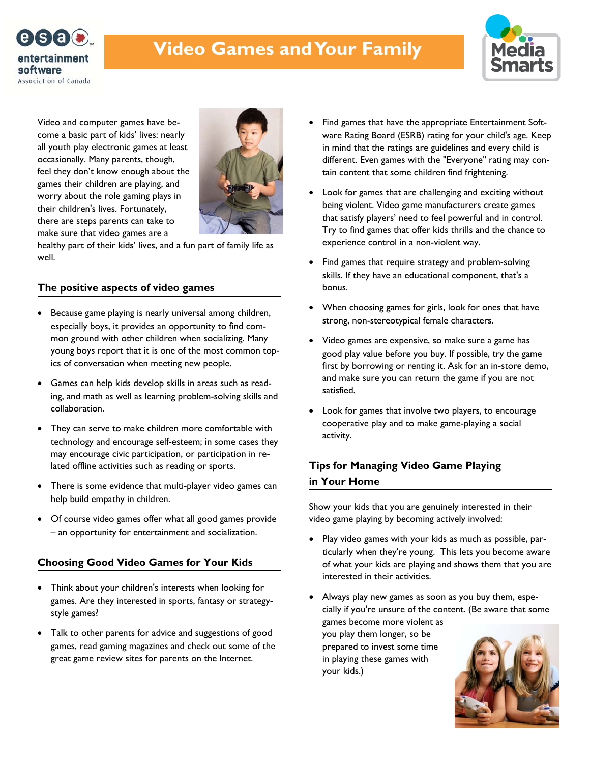

# **Video Games and Your Family**



Video and computer games have become a basic part of kids' lives: nearly all youth play electronic games at least occasionally. Many parents, though, feel they don't know enough about the games their children are playing, and worry about the role gaming plays in their children's lives. Fortunately, there are steps parents can take to make sure that video games are a



healthy part of their kids' lives, and a fun part of family life as well.

# **The positive aspects of video games**

- Because game playing is nearly universal among children, especially boys, it provides an opportunity to find common ground with other children when socializing. Many young boys report that it is one of the most common topics of conversation when meeting new people.
- Games can help kids develop skills in areas such as reading, and math as well as learning problem-solving skills and collaboration.
- They can serve to make children more comfortable with technology and encourage self-esteem; in some cases they may encourage civic participation, or participation in related offline activities such as reading or sports.
- There is some evidence that multi-player video games can help build empathy in children.
- Of course video games offer what all good games provide – an opportunity for entertainment and socialization.

# **Choosing Good Video Games for Your Kids**

- Think about your children's interests when looking for games. Are they interested in sports, fantasy or strategystyle games?
- Talk to other parents for advice and suggestions of good games, read gaming magazines and check out some of the great game review sites for parents on the Internet.
- Find games that have the appropriate Entertainment Software Rating Board (ESRB) rating for your child's age. Keep in mind that the ratings are guidelines and every child is different. Even games with the "Everyone" rating may contain content that some children find frightening.
- Look for games that are challenging and exciting without being violent. Video game manufacturers create games that satisfy players' need to feel powerful and in control. Try to find games that offer kids thrills and the chance to experience control in a non-violent way.
- Find games that require strategy and problem-solving skills. If they have an educational component, that's a bonus.
- When choosing games for girls, look for ones that have strong, non-stereotypical female characters.
- Video games are expensive, so make sure a game has good play value before you buy. If possible, try the game first by borrowing or renting it. Ask for an in-store demo, and make sure you can return the game if you are not satisfied.
- Look for games that involve two players, to encourage cooperative play and to make game-playing a social activity.

# **Tips for Managing Video Game Playing in Your Home**

Show your kids that you are genuinely interested in their video game playing by becoming actively involved:

- Play video games with your kids as much as possible, particularly when they're young. This lets you become aware of what your kids are playing and shows them that you are interested in their activities.
- Always play new games as soon as you buy them, especially if you're unsure of the content. (Be aware that some games become more violent as you play them longer, so be prepared to invest some time in playing these games with your kids.)